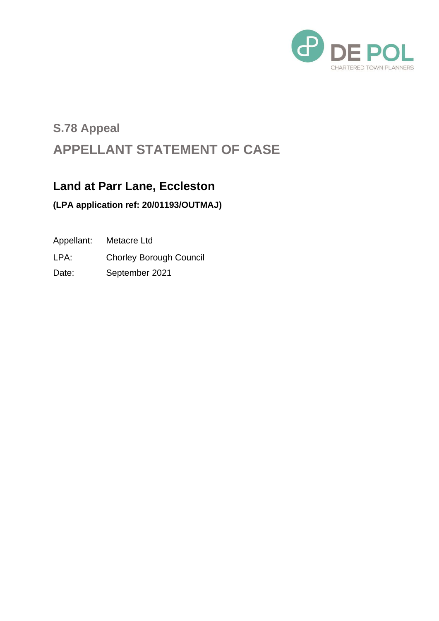

# **S.78 Appeal APPELLANT STATEMENT OF CASE**

#### **Land at Parr Lane, Eccleston**

#### **(LPA application ref: 20/01193/OUTMAJ)**

Appellant: Metacre Ltd

LPA: Chorley Borough Council

Date: September 2021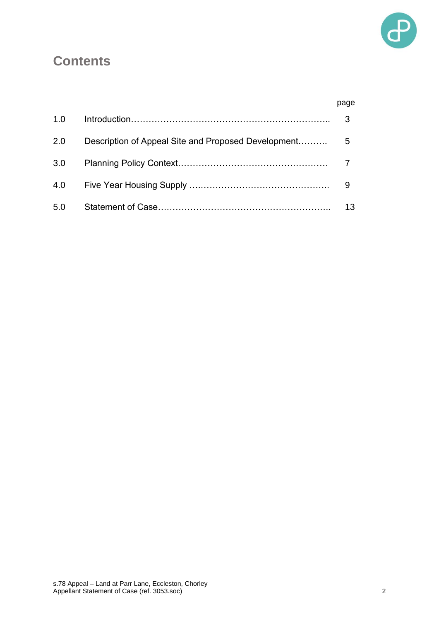

## **Contents**

|     |                                                     | page |
|-----|-----------------------------------------------------|------|
| 1.0 |                                                     | 3    |
| 2.0 | Description of Appeal Site and Proposed Development | 5    |
| 3.0 |                                                     |      |
| 4.0 |                                                     | 9    |
| 5.0 |                                                     | 13   |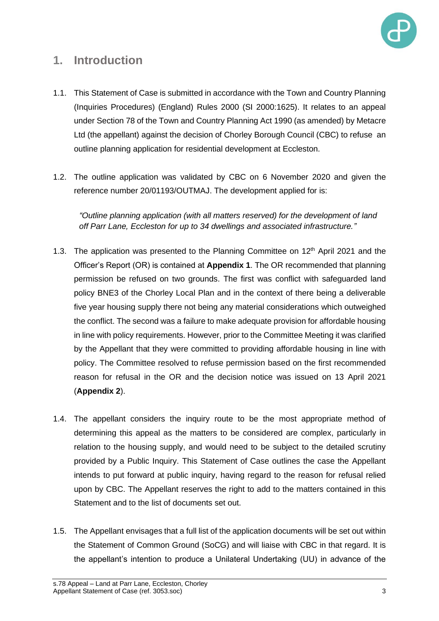

#### **1. Introduction**

- 1.1. This Statement of Case is submitted in accordance with the Town and Country Planning (Inquiries Procedures) (England) Rules 2000 (SI 2000:1625). It relates to an appeal under Section 78 of the Town and Country Planning Act 1990 (as amended) by Metacre Ltd (the appellant) against the decision of Chorley Borough Council (CBC) to refuse an outline planning application for residential development at Eccleston.
- 1.2. The outline application was validated by CBC on 6 November 2020 and given the reference number 20/01193/OUTMAJ. The development applied for is:

*"Outline planning application (with all matters reserved) for the development of land off Parr Lane, Eccleston for up to 34 dwellings and associated infrastructure."* 

- 1.3. The application was presented to the Planning Committee on  $12<sup>th</sup>$  April 2021 and the Officer's Report (OR) is contained at **Appendix 1**. The OR recommended that planning permission be refused on two grounds. The first was conflict with safeguarded land policy BNE3 of the Chorley Local Plan and in the context of there being a deliverable five year housing supply there not being any material considerations which outweighed the conflict. The second was a failure to make adequate provision for affordable housing in line with policy requirements. However, prior to the Committee Meeting it was clarified by the Appellant that they were committed to providing affordable housing in line with policy. The Committee resolved to refuse permission based on the first recommended reason for refusal in the OR and the decision notice was issued on 13 April 2021 (**Appendix 2**).
- 1.4. The appellant considers the inquiry route to be the most appropriate method of determining this appeal as the matters to be considered are complex, particularly in relation to the housing supply, and would need to be subject to the detailed scrutiny provided by a Public Inquiry. This Statement of Case outlines the case the Appellant intends to put forward at public inquiry, having regard to the reason for refusal relied upon by CBC. The Appellant reserves the right to add to the matters contained in this Statement and to the list of documents set out.
- 1.5. The Appellant envisages that a full list of the application documents will be set out within the Statement of Common Ground (SoCG) and will liaise with CBC in that regard. It is the appellant's intention to produce a Unilateral Undertaking (UU) in advance of the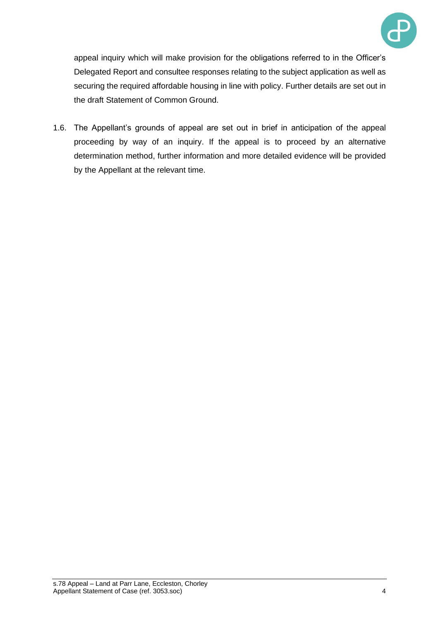

appeal inquiry which will make provision for the obligations referred to in the Officer's Delegated Report and consultee responses relating to the subject application as well as securing the required affordable housing in line with policy. Further details are set out in the draft Statement of Common Ground.

1.6. The Appellant's grounds of appeal are set out in brief in anticipation of the appeal proceeding by way of an inquiry. If the appeal is to proceed by an alternative determination method, further information and more detailed evidence will be provided by the Appellant at the relevant time.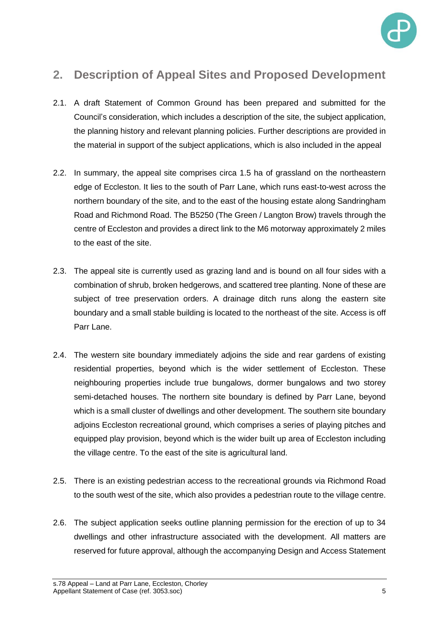

### **2. Description of Appeal Sites and Proposed Development**

- 2.1. A draft Statement of Common Ground has been prepared and submitted for the Council's consideration, which includes a description of the site, the subject application, the planning history and relevant planning policies. Further descriptions are provided in the material in support of the subject applications, which is also included in the appeal
- 2.2. In summary, the appeal site comprises circa 1.5 ha of grassland on the northeastern edge of Eccleston. It lies to the south of Parr Lane, which runs east-to-west across the northern boundary of the site, and to the east of the housing estate along Sandringham Road and Richmond Road. The B5250 (The Green / Langton Brow) travels through the centre of Eccleston and provides a direct link to the M6 motorway approximately 2 miles to the east of the site.
- 2.3. The appeal site is currently used as grazing land and is bound on all four sides with a combination of shrub, broken hedgerows, and scattered tree planting. None of these are subject of tree preservation orders. A drainage ditch runs along the eastern site boundary and a small stable building is located to the northeast of the site. Access is off Parr Lane.
- 2.4. The western site boundary immediately adjoins the side and rear gardens of existing residential properties, beyond which is the wider settlement of Eccleston. These neighbouring properties include true bungalows, dormer bungalows and two storey semi-detached houses. The northern site boundary is defined by Parr Lane, beyond which is a small cluster of dwellings and other development. The southern site boundary adjoins Eccleston recreational ground, which comprises a series of playing pitches and equipped play provision, beyond which is the wider built up area of Eccleston including the village centre. To the east of the site is agricultural land.
- 2.5. There is an existing pedestrian access to the recreational grounds via Richmond Road to the south west of the site, which also provides a pedestrian route to the village centre.
- 2.6. The subject application seeks outline planning permission for the erection of up to 34 dwellings and other infrastructure associated with the development. All matters are reserved for future approval, although the accompanying Design and Access Statement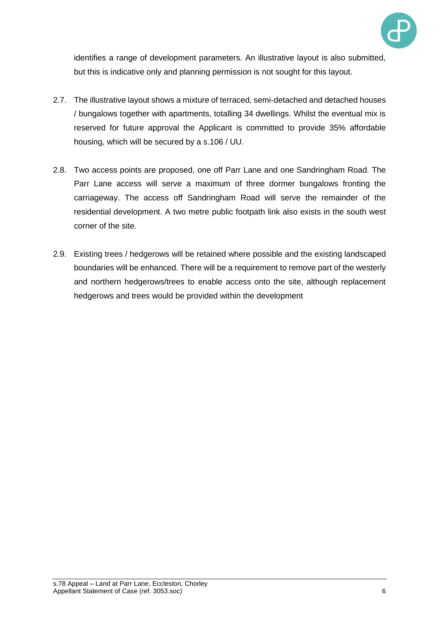

identifies a range of development parameters. An illustrative layout is also submitted, but this is indicative only and planning permission is not sought for this layout.

- 2.7. The illustrative layout shows a mixture of terraced, semi-detached and detached houses / bungalows together with apartments, totalling 34 dwellings. Whilst the eventual mix is reserved for future approval the Applicant is committed to provide 35% affordable housing, which will be secured by a s.106 / UU.
- 2.8. Two access points are proposed, one off Parr Lane and one Sandringham Road. The Parr Lane access will serve a maximum of three dormer bungalows fronting the carriageway. The access off Sandringham Road will serve the remainder of the residential development. A two metre public footpath link also exists in the south west corner of the site.
- 2.9. Existing trees / hedgerows will be retained where possible and the existing landscaped boundaries will be enhanced. There will be a requirement to remove part of the westerly and northern hedgerows/trees to enable access onto the site, although replacement hedgerows and trees would be provided within the development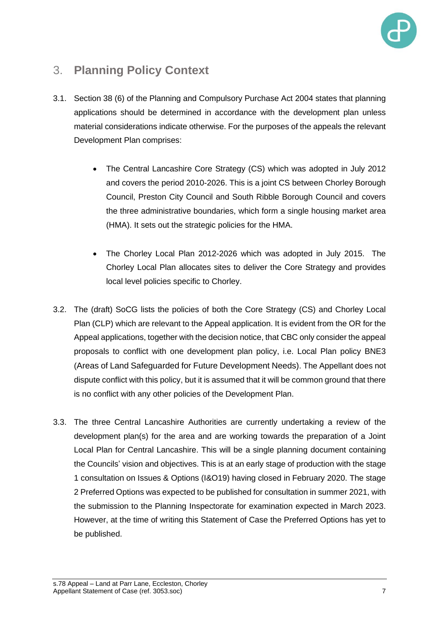

### 3. **Planning Policy Context**

- 3.1. Section 38 (6) of the Planning and Compulsory Purchase Act 2004 states that planning applications should be determined in accordance with the development plan unless material considerations indicate otherwise. For the purposes of the appeals the relevant Development Plan comprises:
	- The Central Lancashire Core Strategy (CS) which was adopted in July 2012 and covers the period 2010-2026. This is a joint CS between Chorley Borough Council, Preston City Council and South Ribble Borough Council and covers the three administrative boundaries, which form a single housing market area (HMA). It sets out the strategic policies for the HMA.
	- The Chorley Local Plan 2012-2026 which was adopted in July 2015. The Chorley Local Plan allocates sites to deliver the Core Strategy and provides local level policies specific to Chorley.
- 3.2. The (draft) SoCG lists the policies of both the Core Strategy (CS) and Chorley Local Plan (CLP) which are relevant to the Appeal application. It is evident from the OR for the Appeal applications, together with the decision notice, that CBC only consider the appeal proposals to conflict with one development plan policy, i.e. Local Plan policy BNE3 (Areas of Land Safeguarded for Future Development Needs). The Appellant does not dispute conflict with this policy, but it is assumed that it will be common ground that there is no conflict with any other policies of the Development Plan.
- 3.3. The three Central Lancashire Authorities are currently undertaking a review of the development plan(s) for the area and are working towards the preparation of a Joint Local Plan for Central Lancashire. This will be a single planning document containing the Councils' vision and objectives. This is at an early stage of production with the stage 1 consultation on Issues & Options (I&O19) having closed in February 2020. The stage 2 Preferred Options was expected to be published for consultation in summer 2021, with the submission to the Planning Inspectorate for examination expected in March 2023. However, at the time of writing this Statement of Case the Preferred Options has yet to be published.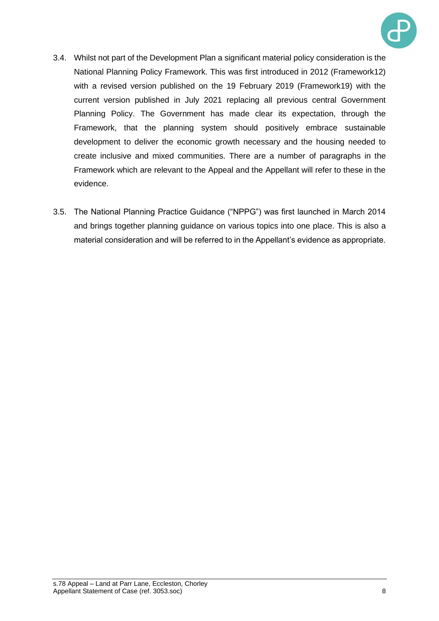

- 3.4. Whilst not part of the Development Plan a significant material policy consideration is the National Planning Policy Framework. This was first introduced in 2012 (Framework12) with a revised version published on the 19 February 2019 (Framework19) with the current version published in July 2021 replacing all previous central Government Planning Policy. The Government has made clear its expectation, through the Framework, that the planning system should positively embrace sustainable development to deliver the economic growth necessary and the housing needed to create inclusive and mixed communities. There are a number of paragraphs in the Framework which are relevant to the Appeal and the Appellant will refer to these in the evidence.
- 3.5. The National Planning Practice Guidance ("NPPG") was first launched in March 2014 and brings together planning guidance on various topics into one place. This is also a material consideration and will be referred to in the Appellant's evidence as appropriate.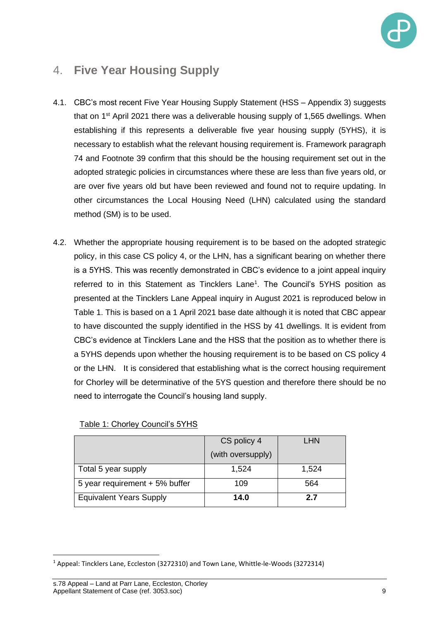

### 4. **Five Year Housing Supply**

- 4.1. CBC's most recent Five Year Housing Supply Statement (HSS Appendix 3) suggests that on 1<sup>st</sup> April 2021 there was a deliverable housing supply of 1,565 dwellings. When establishing if this represents a deliverable five year housing supply (5YHS), it is necessary to establish what the relevant housing requirement is. Framework paragraph 74 and Footnote 39 confirm that this should be the housing requirement set out in the adopted strategic policies in circumstances where these are less than five years old, or are over five years old but have been reviewed and found not to require updating. In other circumstances the Local Housing Need (LHN) calculated using the standard method (SM) is to be used.
- 4.2. Whether the appropriate housing requirement is to be based on the adopted strategic policy, in this case CS policy 4, or the LHN, has a significant bearing on whether there is a 5YHS. This was recently demonstrated in CBC's evidence to a joint appeal inquiry referred to in this Statement as Tincklers Lane<sup>1</sup>. The Council's 5YHS position as presented at the Tincklers Lane Appeal inquiry in August 2021 is reproduced below in Table 1. This is based on a 1 April 2021 base date although it is noted that CBC appear to have discounted the supply identified in the HSS by 41 dwellings. It is evident from CBC's evidence at Tincklers Lane and the HSS that the position as to whether there is a 5YHS depends upon whether the housing requirement is to be based on CS policy 4 or the LHN. It is considered that establishing what is the correct housing requirement for Chorley will be determinative of the 5YS question and therefore there should be no need to interrogate the Council's housing land supply.

|                                | CS policy 4       | LHN   |
|--------------------------------|-------------------|-------|
|                                | (with oversupply) |       |
| Total 5 year supply            | 1,524             | 1,524 |
| 5 year requirement + 5% buffer | 109               | 564   |
| <b>Equivalent Years Supply</b> | 14.0              | 2.7   |

#### Table 1: Chorley Council's 5YHS

<sup>1</sup> Appeal: Tincklers Lane, Eccleston (3272310) and Town Lane, Whittle-le-Woods (3272314)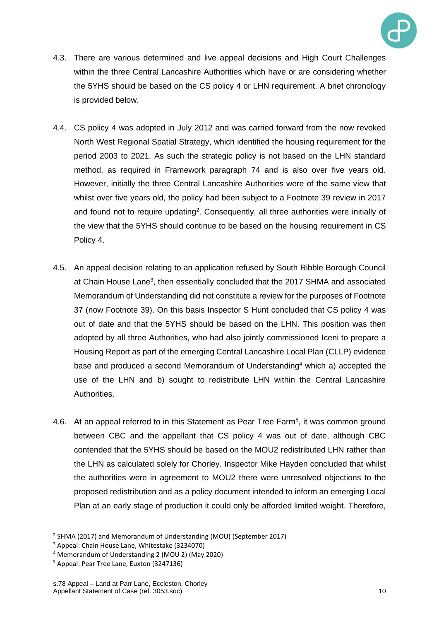

- 4.3. There are various determined and live appeal decisions and High Court Challenges within the three Central Lancashire Authorities which have or are considering whether the 5YHS should be based on the CS policy 4 or LHN requirement. A brief chronology is provided below.
- 4.4. CS policy 4 was adopted in July 2012 and was carried forward from the now revoked North West Regional Spatial Strategy, which identified the housing requirement for the period 2003 to 2021. As such the strategic policy is not based on the LHN standard method, as required in Framework paragraph 74 and is also over five years old. However, initially the three Central Lancashire Authorities were of the same view that whilst over five years old, the policy had been subject to a Footnote 39 review in 2017 and found not to require updating<sup>2</sup>. Consequently, all three authorities were initially of the view that the 5YHS should continue to be based on the housing requirement in CS Policy 4.
- 4.5. An appeal decision relating to an application refused by South Ribble Borough Council at Chain House Lane<sup>3</sup>, then essentially concluded that the 2017 SHMA and associated Memorandum of Understanding did not constitute a review for the purposes of Footnote 37 (now Footnote 39). On this basis Inspector S Hunt concluded that CS policy 4 was out of date and that the 5YHS should be based on the LHN. This position was then adopted by all three Authorities, who had also jointly commissioned Iceni to prepare a Housing Report as part of the emerging Central Lancashire Local Plan (CLLP) evidence base and produced a second Memorandum of Understanding<sup>4</sup> which a) accepted the use of the LHN and b) sought to redistribute LHN within the Central Lancashire **Authorities**
- 4.6. At an appeal referred to in this Statement as Pear Tree Farm<sup>5</sup>, it was common ground between CBC and the appellant that CS policy 4 was out of date, although CBC contended that the 5YHS should be based on the MOU2 redistributed LHN rather than the LHN as calculated solely for Chorley. Inspector Mike Hayden concluded that whilst the authorities were in agreement to MOU2 there were unresolved objections to the proposed redistribution and as a policy document intended to inform an emerging Local Plan at an early stage of production it could only be afforded limited weight. Therefore,

<sup>&</sup>lt;sup>2</sup> SHMA (2017) and Memorandum of Understanding (MOU) (September 2017)

<sup>3</sup> Appeal: Chain House Lane, Whitestake (3234070)

<sup>4</sup> Memorandum of Understanding 2 (MOU 2) (May 2020)

<sup>5</sup> Appeal: Pear Tree Lane, Euxton (3247136)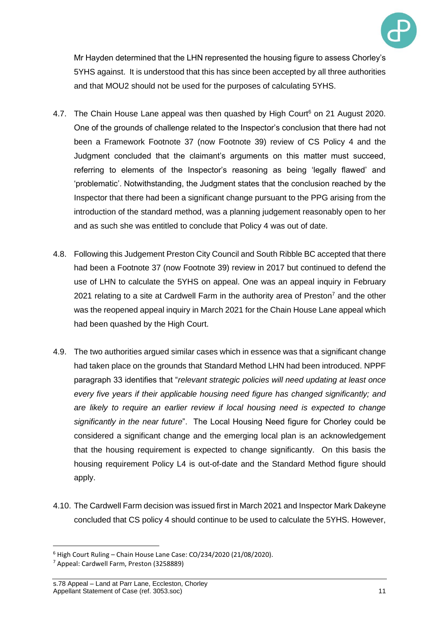

Mr Hayden determined that the LHN represented the housing figure to assess Chorley's 5YHS against. It is understood that this has since been accepted by all three authorities and that MOU2 should not be used for the purposes of calculating 5YHS.

- 4.7. The Chain House Lane appeal was then quashed by High Court<sup>6</sup> on 21 August 2020. One of the grounds of challenge related to the Inspector's conclusion that there had not been a Framework Footnote 37 (now Footnote 39) review of CS Policy 4 and the Judgment concluded that the claimant's arguments on this matter must succeed, referring to elements of the Inspector's reasoning as being 'legally flawed' and 'problematic'. Notwithstanding, the Judgment states that the conclusion reached by the Inspector that there had been a significant change pursuant to the PPG arising from the introduction of the standard method, was a planning judgement reasonably open to her and as such she was entitled to conclude that Policy 4 was out of date.
- 4.8. Following this Judgement Preston City Council and South Ribble BC accepted that there had been a Footnote 37 (now Footnote 39) review in 2017 but continued to defend the use of LHN to calculate the 5YHS on appeal. One was an appeal inquiry in February 2021 relating to a site at Cardwell Farm in the authority area of Preston<sup>7</sup> and the other was the reopened appeal inquiry in March 2021 for the Chain House Lane appeal which had been quashed by the High Court.
- 4.9. The two authorities argued similar cases which in essence was that a significant change had taken place on the grounds that Standard Method LHN had been introduced. NPPF paragraph 33 identifies that "*relevant strategic policies will need updating at least once every five years if their applicable housing need figure has changed significantly; and are likely to require an earlier review if local housing need is expected to change significantly in the near future*". The Local Housing Need figure for Chorley could be considered a significant change and the emerging local plan is an acknowledgement that the housing requirement is expected to change significantly. On this basis the housing requirement Policy L4 is out-of-date and the Standard Method figure should apply.
- 4.10. The Cardwell Farm decision was issued first in March 2021 and Inspector Mark Dakeyne concluded that CS policy 4 should continue to be used to calculate the 5YHS. However,

 $6$  High Court Ruling – Chain House Lane Case: CO/234/2020 (21/08/2020).

<sup>7</sup> Appeal: Cardwell Farm, Preston (3258889)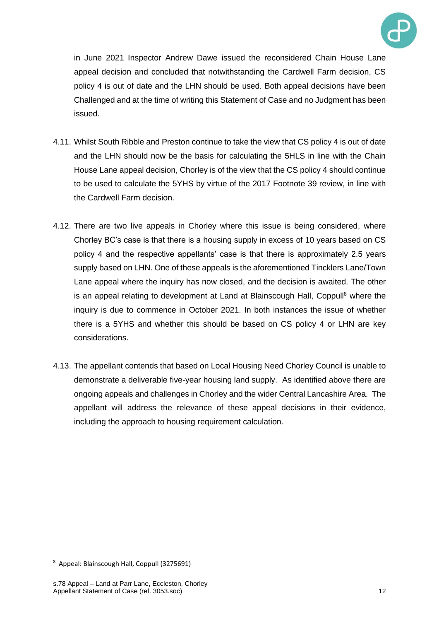

in June 2021 Inspector Andrew Dawe issued the reconsidered Chain House Lane appeal decision and concluded that notwithstanding the Cardwell Farm decision, CS policy 4 is out of date and the LHN should be used. Both appeal decisions have been Challenged and at the time of writing this Statement of Case and no Judgment has been issued.

- 4.11. Whilst South Ribble and Preston continue to take the view that CS policy 4 is out of date and the LHN should now be the basis for calculating the 5HLS in line with the Chain House Lane appeal decision, Chorley is of the view that the CS policy 4 should continue to be used to calculate the 5YHS by virtue of the 2017 Footnote 39 review, in line with the Cardwell Farm decision.
- 4.12. There are two live appeals in Chorley where this issue is being considered, where Chorley BC's case is that there is a housing supply in excess of 10 years based on CS policy 4 and the respective appellants' case is that there is approximately 2.5 years supply based on LHN. One of these appeals is the aforementioned Tincklers Lane/Town Lane appeal where the inquiry has now closed, and the decision is awaited. The other is an appeal relating to development at Land at Blainscough Hall, Coppull<sup>8</sup> where the inquiry is due to commence in October 2021. In both instances the issue of whether there is a 5YHS and whether this should be based on CS policy 4 or LHN are key considerations.
- 4.13. The appellant contends that based on Local Housing Need Chorley Council is unable to demonstrate a deliverable five-year housing land supply. As identified above there are ongoing appeals and challenges in Chorley and the wider Central Lancashire Area. The appellant will address the relevance of these appeal decisions in their evidence, including the approach to housing requirement calculation.

<sup>8</sup> Appeal: Blainscough Hall, Coppull (3275691)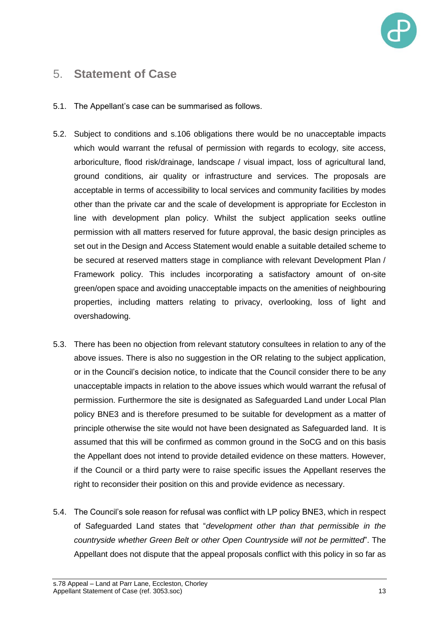

#### 5. **Statement of Case**

- 5.1. The Appellant's case can be summarised as follows.
- 5.2. Subject to conditions and s.106 obligations there would be no unacceptable impacts which would warrant the refusal of permission with regards to ecology, site access, arboriculture, flood risk/drainage, landscape / visual impact, loss of agricultural land, ground conditions, air quality or infrastructure and services. The proposals are acceptable in terms of accessibility to local services and community facilities by modes other than the private car and the scale of development is appropriate for Eccleston in line with development plan policy. Whilst the subject application seeks outline permission with all matters reserved for future approval, the basic design principles as set out in the Design and Access Statement would enable a suitable detailed scheme to be secured at reserved matters stage in compliance with relevant Development Plan / Framework policy. This includes incorporating a satisfactory amount of on-site green/open space and avoiding unacceptable impacts on the amenities of neighbouring properties, including matters relating to privacy, overlooking, loss of light and overshadowing.
- 5.3. There has been no objection from relevant statutory consultees in relation to any of the above issues. There is also no suggestion in the OR relating to the subject application, or in the Council's decision notice, to indicate that the Council consider there to be any unacceptable impacts in relation to the above issues which would warrant the refusal of permission. Furthermore the site is designated as Safeguarded Land under Local Plan policy BNE3 and is therefore presumed to be suitable for development as a matter of principle otherwise the site would not have been designated as Safeguarded land. It is assumed that this will be confirmed as common ground in the SoCG and on this basis the Appellant does not intend to provide detailed evidence on these matters. However, if the Council or a third party were to raise specific issues the Appellant reserves the right to reconsider their position on this and provide evidence as necessary.
- 5.4. The Council's sole reason for refusal was conflict with LP policy BNE3, which in respect of Safeguarded Land states that "*development other than that permissible in the countryside whether Green Belt or other Open Countryside will not be permitted*". The Appellant does not dispute that the appeal proposals conflict with this policy in so far as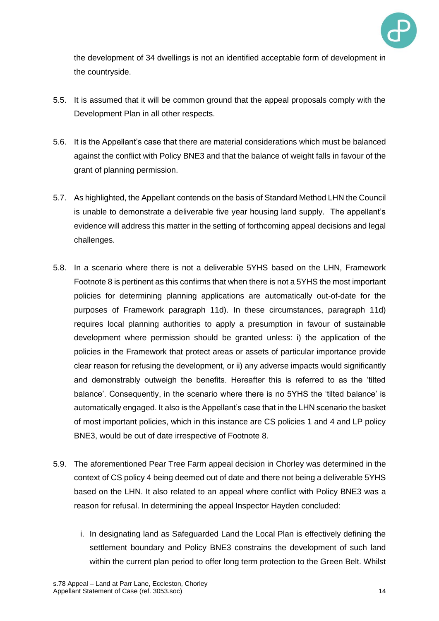

the development of 34 dwellings is not an identified acceptable form of development in the countryside.

- 5.5. It is assumed that it will be common ground that the appeal proposals comply with the Development Plan in all other respects.
- 5.6. It is the Appellant's case that there are material considerations which must be balanced against the conflict with Policy BNE3 and that the balance of weight falls in favour of the grant of planning permission.
- 5.7. As highlighted, the Appellant contends on the basis of Standard Method LHN the Council is unable to demonstrate a deliverable five year housing land supply. The appellant's evidence will address this matter in the setting of forthcoming appeal decisions and legal challenges.
- 5.8. In a scenario where there is not a deliverable 5YHS based on the LHN, Framework Footnote 8 is pertinent as this confirms that when there is not a 5YHS the most important policies for determining planning applications are automatically out-of-date for the purposes of Framework paragraph 11d). In these circumstances, paragraph 11d) requires local planning authorities to apply a presumption in favour of sustainable development where permission should be granted unless: i) the application of the policies in the Framework that protect areas or assets of particular importance provide clear reason for refusing the development, or ii) any adverse impacts would significantly and demonstrably outweigh the benefits. Hereafter this is referred to as the 'tilted balance'. Consequently, in the scenario where there is no 5YHS the 'tilted balance' is automatically engaged. It also is the Appellant's case that in the LHN scenario the basket of most important policies, which in this instance are CS policies 1 and 4 and LP policy BNE3, would be out of date irrespective of Footnote 8.
- 5.9. The aforementioned Pear Tree Farm appeal decision in Chorley was determined in the context of CS policy 4 being deemed out of date and there not being a deliverable 5YHS based on the LHN. It also related to an appeal where conflict with Policy BNE3 was a reason for refusal. In determining the appeal Inspector Hayden concluded:
	- i. In designating land as Safeguarded Land the Local Plan is effectively defining the settlement boundary and Policy BNE3 constrains the development of such land within the current plan period to offer long term protection to the Green Belt. Whilst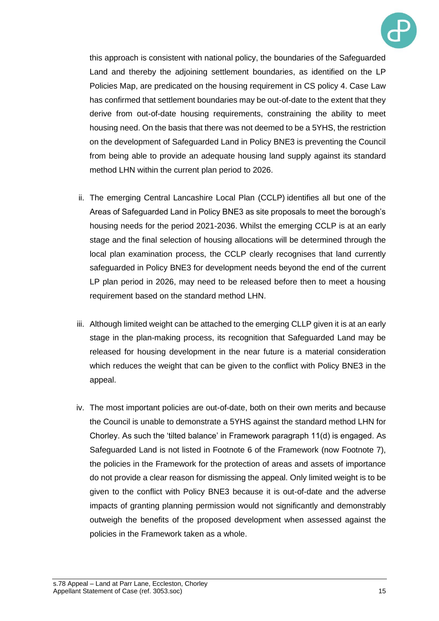

this approach is consistent with national policy, the boundaries of the Safeguarded Land and thereby the adjoining settlement boundaries, as identified on the LP Policies Map, are predicated on the housing requirement in CS policy 4. Case Law has confirmed that settlement boundaries may be out-of-date to the extent that they derive from out-of-date housing requirements, constraining the ability to meet housing need. On the basis that there was not deemed to be a 5YHS, the restriction on the development of Safeguarded Land in Policy BNE3 is preventing the Council from being able to provide an adequate housing land supply against its standard method LHN within the current plan period to 2026.

- ii. The emerging Central Lancashire Local Plan (CCLP) identifies all but one of the Areas of Safeguarded Land in Policy BNE3 as site proposals to meet the borough's housing needs for the period 2021-2036. Whilst the emerging CCLP is at an early stage and the final selection of housing allocations will be determined through the local plan examination process, the CCLP clearly recognises that land currently safeguarded in Policy BNE3 for development needs beyond the end of the current LP plan period in 2026, may need to be released before then to meet a housing requirement based on the standard method LHN.
- iii. Although limited weight can be attached to the emerging CLLP given it is at an early stage in the plan-making process, its recognition that Safeguarded Land may be released for housing development in the near future is a material consideration which reduces the weight that can be given to the conflict with Policy BNE3 in the appeal.
- iv. The most important policies are out-of-date, both on their own merits and because the Council is unable to demonstrate a 5YHS against the standard method LHN for Chorley. As such the 'tilted balance' in Framework paragraph 11(d) is engaged. As Safeguarded Land is not listed in Footnote 6 of the Framework (now Footnote 7), the policies in the Framework for the protection of areas and assets of importance do not provide a clear reason for dismissing the appeal. Only limited weight is to be given to the conflict with Policy BNE3 because it is out-of-date and the adverse impacts of granting planning permission would not significantly and demonstrably outweigh the benefits of the proposed development when assessed against the policies in the Framework taken as a whole.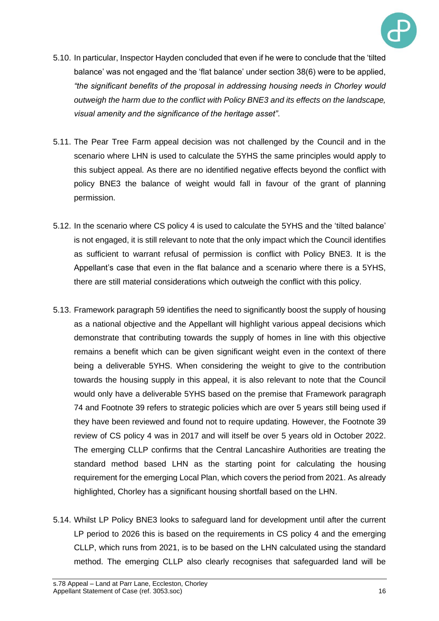

- 5.10. In particular, Inspector Hayden concluded that even if he were to conclude that the 'tilted balance' was not engaged and the 'flat balance' under section 38(6) were to be applied, *"the significant benefits of the proposal in addressing housing needs in Chorley would outweigh the harm due to the conflict with Policy BNE3 and its effects on the landscape, visual amenity and the significance of the heritage asset"*.
- 5.11. The Pear Tree Farm appeal decision was not challenged by the Council and in the scenario where LHN is used to calculate the 5YHS the same principles would apply to this subject appeal. As there are no identified negative effects beyond the conflict with policy BNE3 the balance of weight would fall in favour of the grant of planning permission.
- 5.12. In the scenario where CS policy 4 is used to calculate the 5YHS and the 'tilted balance' is not engaged, it is still relevant to note that the only impact which the Council identifies as sufficient to warrant refusal of permission is conflict with Policy BNE3. It is the Appellant's case that even in the flat balance and a scenario where there is a 5YHS, there are still material considerations which outweigh the conflict with this policy.
- 5.13. Framework paragraph 59 identifies the need to significantly boost the supply of housing as a national objective and the Appellant will highlight various appeal decisions which demonstrate that contributing towards the supply of homes in line with this objective remains a benefit which can be given significant weight even in the context of there being a deliverable 5YHS. When considering the weight to give to the contribution towards the housing supply in this appeal, it is also relevant to note that the Council would only have a deliverable 5YHS based on the premise that Framework paragraph 74 and Footnote 39 refers to strategic policies which are over 5 years still being used if they have been reviewed and found not to require updating. However, the Footnote 39 review of CS policy 4 was in 2017 and will itself be over 5 years old in October 2022. The emerging CLLP confirms that the Central Lancashire Authorities are treating the standard method based LHN as the starting point for calculating the housing requirement for the emerging Local Plan, which covers the period from 2021. As already highlighted, Chorley has a significant housing shortfall based on the LHN.
- 5.14. Whilst LP Policy BNE3 looks to safeguard land for development until after the current LP period to 2026 this is based on the requirements in CS policy 4 and the emerging CLLP, which runs from 2021, is to be based on the LHN calculated using the standard method. The emerging CLLP also clearly recognises that safeguarded land will be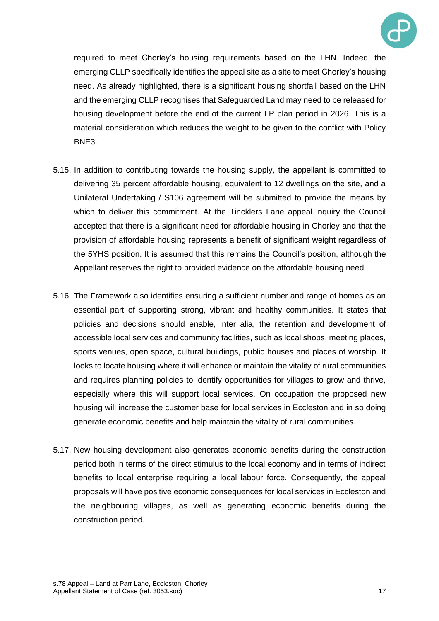

required to meet Chorley's housing requirements based on the LHN. Indeed, the emerging CLLP specifically identifies the appeal site as a site to meet Chorley's housing need. As already highlighted, there is a significant housing shortfall based on the LHN and the emerging CLLP recognises that Safeguarded Land may need to be released for housing development before the end of the current LP plan period in 2026. This is a material consideration which reduces the weight to be given to the conflict with Policy BNE3.

- 5.15. In addition to contributing towards the housing supply, the appellant is committed to delivering 35 percent affordable housing, equivalent to 12 dwellings on the site, and a Unilateral Undertaking / S106 agreement will be submitted to provide the means by which to deliver this commitment. At the Tincklers Lane appeal inquiry the Council accepted that there is a significant need for affordable housing in Chorley and that the provision of affordable housing represents a benefit of significant weight regardless of the 5YHS position. It is assumed that this remains the Council's position, although the Appellant reserves the right to provided evidence on the affordable housing need.
- 5.16. The Framework also identifies ensuring a sufficient number and range of homes as an essential part of supporting strong, vibrant and healthy communities. It states that policies and decisions should enable, inter alia, the retention and development of accessible local services and community facilities, such as local shops, meeting places, sports venues, open space, cultural buildings, public houses and places of worship. It looks to locate housing where it will enhance or maintain the vitality of rural communities and requires planning policies to identify opportunities for villages to grow and thrive, especially where this will support local services. On occupation the proposed new housing will increase the customer base for local services in Eccleston and in so doing generate economic benefits and help maintain the vitality of rural communities.
- 5.17. New housing development also generates economic benefits during the construction period both in terms of the direct stimulus to the local economy and in terms of indirect benefits to local enterprise requiring a local labour force. Consequently, the appeal proposals will have positive economic consequences for local services in Eccleston and the neighbouring villages, as well as generating economic benefits during the construction period.